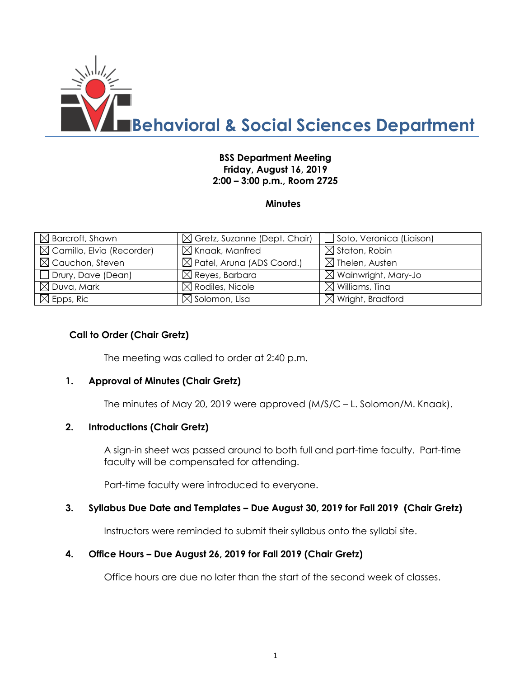

## **BSS Department Meeting Friday, August 16, 2019 2:00 – 3:00 p.m., Room 2725**

### **Minutes**

| $\boxtimes$ Barcroft, Shawn           | $\boxtimes$ Gretz, Suzanne (Dept. Chair) | Soto, Veronica (Liaison)        |
|---------------------------------------|------------------------------------------|---------------------------------|
| $\boxtimes$ Camillo, Elvia (Recorder) | $\boxtimes$ Knaak, Manfred               | $\boxtimes$ Staton, Robin       |
| $\boxtimes$ Cauchon, Steven           | $\boxtimes$ Patel, Aruna (ADS Coord.)    | $\boxtimes$ Thelen, Austen      |
| $\Box$ Drury, Dave (Dean)             | $\boxtimes$ Reyes, Barbara               | $\boxtimes$ Wainwright, Mary-Jo |
| $\boxtimes$ Duva, Mark                | $\boxtimes$ Rodiles, Nicole              | $\boxtimes$ Williams, Tina      |
| $\boxtimes$ Epps, Ric                 | $\boxtimes$ Solomon, Lisa                | $\boxtimes$ Wright, Bradford    |

### **Call to Order (Chair Gretz)**

The meeting was called to order at 2:40 p.m.

### **1. Approval of Minutes (Chair Gretz)**

The minutes of May 20, 2019 were approved (M/S/C – L. Solomon/M. Knaak).

### **2. Introductions (Chair Gretz)**

A sign-in sheet was passed around to both full and part-time faculty. Part-time faculty will be compensated for attending.

Part-time faculty were introduced to everyone.

### **3. Syllabus Due Date and Templates – Due August 30, 2019 for Fall 2019 (Chair Gretz)**

Instructors were reminded to submit their syllabus onto the syllabi site.

### **4. Office Hours – Due August 26, 2019 for Fall 2019 (Chair Gretz)**

Office hours are due no later than the start of the second week of classes.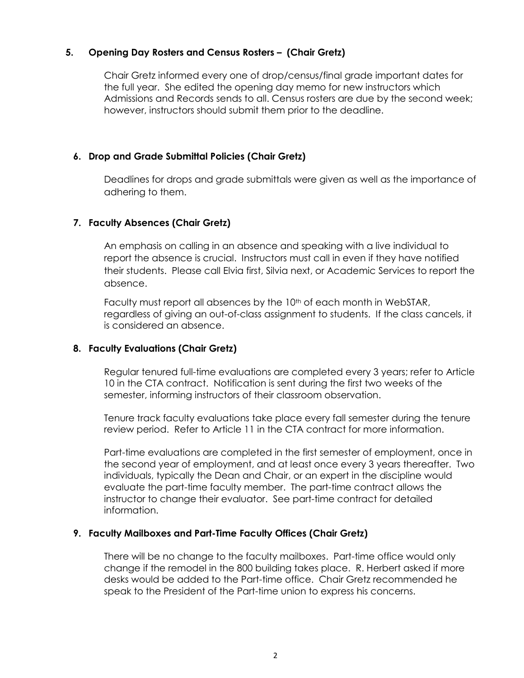# **5. Opening Day Rosters and Census Rosters – (Chair Gretz)**

Chair Gretz informed every one of drop/census/final grade important dates for the full year. She edited the opening day memo for new instructors which Admissions and Records sends to all. Census rosters are due by the second week; however, instructors should submit them prior to the deadline.

### **6. Drop and Grade Submittal Policies (Chair Gretz)**

Deadlines for drops and grade submittals were given as well as the importance of adhering to them.

# **7. Faculty Absences (Chair Gretz)**

An emphasis on calling in an absence and speaking with a live individual to report the absence is crucial. Instructors must call in even if they have notified their students. Please call Elvia first, Silvia next, or Academic Services to report the absence.

Faculty must report all absences by the  $10<sup>th</sup>$  of each month in WebSTAR, regardless of giving an out-of-class assignment to students. If the class cancels, it is considered an absence.

# **8. Faculty Evaluations (Chair Gretz)**

Regular tenured full-time evaluations are completed every 3 years; refer to Article 10 in the CTA contract. Notification is sent during the first two weeks of the semester, informing instructors of their classroom observation.

Tenure track faculty evaluations take place every fall semester during the tenure review period. Refer to Article 11 in the CTA contract for more information.

Part-time evaluations are completed in the first semester of employment, once in the second year of employment, and at least once every 3 years thereafter. Two individuals, typically the Dean and Chair, or an expert in the discipline would evaluate the part-time faculty member. The part-time contract allows the instructor to change their evaluator. See part-time contract for detailed information.

# **9. Faculty Mailboxes and Part-Time Faculty Offices (Chair Gretz)**

There will be no change to the faculty mailboxes. Part-time office would only change if the remodel in the 800 building takes place. R. Herbert asked if more desks would be added to the Part-time office. Chair Gretz recommended he speak to the President of the Part-time union to express his concerns.